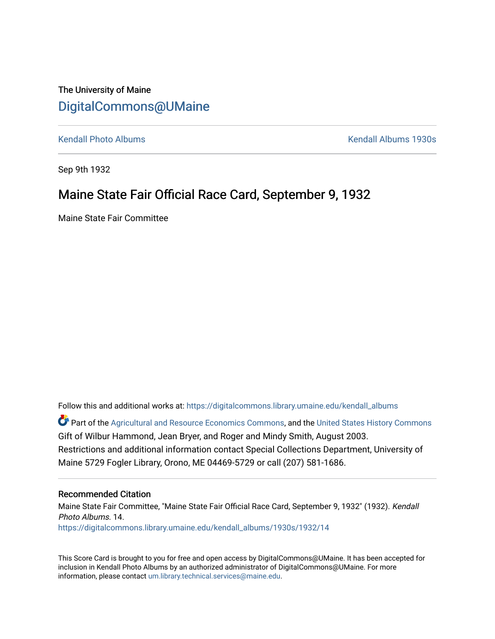The University of Maine [DigitalCommons@UMaine](https://digitalcommons.library.umaine.edu/)

[Kendall Photo Albums](https://digitalcommons.library.umaine.edu/kendall_albums) [Kendall Albums 1930s](https://digitalcommons.library.umaine.edu/kendall_albums/1930s) 

Sep 9th 1932

#### Maine State Fair Official Race Card, September 9, 1932

Maine State Fair Committee

Follow this and additional works at: [https://digitalcommons.library.umaine.edu/kendall\\_albums](https://digitalcommons.library.umaine.edu/kendall_albums?utm_source=digitalcommons.library.umaine.edu%2Fkendall_albums%2F1930s%2F1932%2F14&utm_medium=PDF&utm_campaign=PDFCoverPages) 

**C** Part of the [Agricultural and Resource Economics Commons,](http://network.bepress.com/hgg/discipline/317?utm_source=digitalcommons.library.umaine.edu%2Fkendall_albums%2F1930s%2F1932%2F14&utm_medium=PDF&utm_campaign=PDFCoverPages) and the [United States History Commons](http://network.bepress.com/hgg/discipline/495?utm_source=digitalcommons.library.umaine.edu%2Fkendall_albums%2F1930s%2F1932%2F14&utm_medium=PDF&utm_campaign=PDFCoverPages) Gift of Wilbur Hammond, Jean Bryer, and Roger and Mindy Smith, August 2003. Restrictions and additional information contact Special Collections Department, University of Maine 5729 Fogler Library, Orono, ME 04469-5729 or call (207) 581-1686.

#### Recommended Citation

Maine State Fair Committee, "Maine State Fair Official Race Card, September 9, 1932" (1932). Kendall Photo Albums. 14. [https://digitalcommons.library.umaine.edu/kendall\\_albums/1930s/1932/14](https://digitalcommons.library.umaine.edu/kendall_albums/1930s/1932/14?utm_source=digitalcommons.library.umaine.edu%2Fkendall_albums%2F1930s%2F1932%2F14&utm_medium=PDF&utm_campaign=PDFCoverPages)

This Score Card is brought to you for free and open access by DigitalCommons@UMaine. It has been accepted for inclusion in Kendall Photo Albums by an authorized administrator of DigitalCommons@UMaine. For more information, please contact [um.library.technical.services@maine.edu](mailto:um.library.technical.services@maine.edu).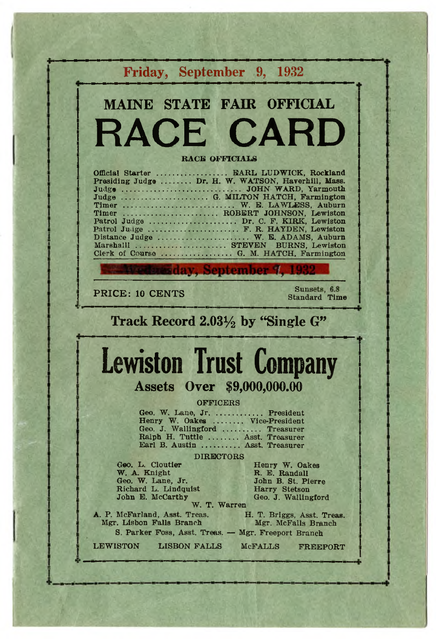|                                                                                                   | Friday, September 9, 1932                                                                                                                                                                                                                                                                                                                                                   |
|---------------------------------------------------------------------------------------------------|-----------------------------------------------------------------------------------------------------------------------------------------------------------------------------------------------------------------------------------------------------------------------------------------------------------------------------------------------------------------------------|
|                                                                                                   | <b>MAINE STATE FAIR OFFICIAL</b>                                                                                                                                                                                                                                                                                                                                            |
|                                                                                                   | <b>RACE CARD</b>                                                                                                                                                                                                                                                                                                                                                            |
|                                                                                                   | <b>RACE OFFICIALS</b>                                                                                                                                                                                                                                                                                                                                                       |
|                                                                                                   | Official Starter  EARL LUDWICK, Rockland<br>Presiding Judge  Dr. H. W. WATSON, Haverhill, Mass.<br>Timer  W. E. LAWLESS, Auburn<br>Timer  ROBERT JOHNSON, Lewiston<br>Patrol Judge  Dr. C. F. KIRK, Lewiston<br>Patrol Judge  F. R. HAYDEN, Lewiston<br>Distance Judge  W. E. ADAMS, Auburn<br>Marshall  STEVEN BURNS, Lewiston<br>Clerk of Course  G. M. HATCH, Farmington |
|                                                                                                   | <b>Stasday, September 4, 1932</b>                                                                                                                                                                                                                                                                                                                                           |
|                                                                                                   |                                                                                                                                                                                                                                                                                                                                                                             |
| PRICE: 10 CENTS                                                                                   | Sunsets, 6.8<br><b>Standard Time</b>                                                                                                                                                                                                                                                                                                                                        |
|                                                                                                   | Track Record $2.03\frac{1}{2}$ by "Single G"                                                                                                                                                                                                                                                                                                                                |
|                                                                                                   |                                                                                                                                                                                                                                                                                                                                                                             |
|                                                                                                   | <b>Lewiston Trust Company</b>                                                                                                                                                                                                                                                                                                                                               |
|                                                                                                   | Assets Over \$9,000,000.00                                                                                                                                                                                                                                                                                                                                                  |
|                                                                                                   | <b>OFFICERS</b><br>Geo. W. Lane, Jr.  President<br>Henry W. Oakes  Vice-President<br>Geo. J. Wallingford  Treasurer<br>Ralph H. Tuttle  Asst. Treasurer<br>Earl B. Austin  Asst. Treasurer                                                                                                                                                                                  |
|                                                                                                   | <b>DIRECTORS</b>                                                                                                                                                                                                                                                                                                                                                            |
| Geo. L. Cloutier<br>W. A. Knight<br>Geo. W. Lane, Jr.<br>Richard L. Lindquist<br>John E. McCarthy | Henry W. Oakes<br>R. E. Randall<br>John B. St. Pierre<br>Harry Stetson<br>Geo. J. Wallingford<br>W. T. Warren                                                                                                                                                                                                                                                               |
| A. P. McFarland, Asst. Treas.<br>Mgr. Lisbon Falls Branch                                         | H. T. Briggs, Asst. Treas.<br>Mgr. McFalls Branch<br>S. Parker Foss, Asst. Treas. - Mgr. Freeport Branch                                                                                                                                                                                                                                                                    |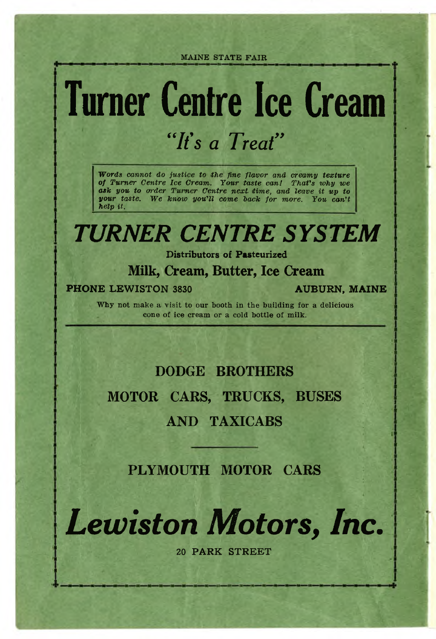## **Turner Centre Ice Cream** *"It's a Treat"*

*Words cannot do justice to the fine flavor and creamy texture of Turner Centre Ice Cream. Your taste can! That's why we ask you to order Turner Centre next time***,** *and leave it up to your taste. We know you'll come back for more. You can't help it.*

### *TURNER CENTRE SYSTEM*

**Distributors of Pasteurized**

#### **Milk, Cream, Butter, Ice Cream**

**PHONE LEWISTON 3830 AUBURN, MAINE** 

**Why not make a visit to our booth in the building for a delicious cone of ice cream or a cold bottle of milk.**

### **DODGE BROTHERS MOTOR CARS, TRUCKS, BUSES AND TAXICABS**

**PLYMOUTH MOTOR CARS**

*Lewiston Motors, Inc,*

**20 PARK STREET**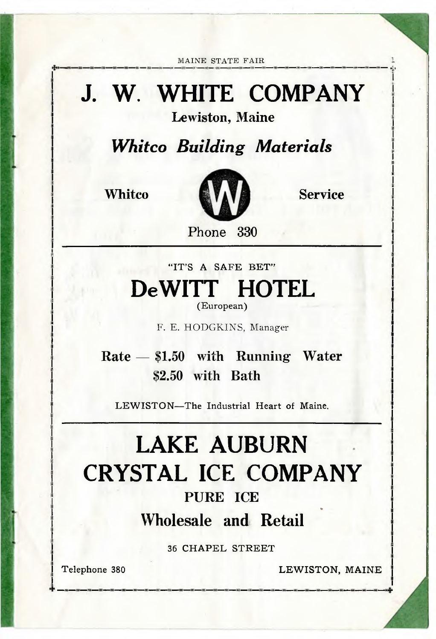## **J. W. WHITE COMPANY**

**Lewiston, Maine**

*Whitco Building Materials*



**Phone 330**

"IT'S A SAFE BET" **DeWITT HOTEL** (European)

**F. E. HODGKINS, Manager**

**Rate — \$1.50 with Running Water \$2.50 with Bath**

LEWISTON-The Industrial Heart of Maine.

### **LAKE AUBURN CRYSTAL ICE COMPANY PURE ICE Wholesale and Retail**

36 CHAPEL STREET

Telephone 380 LEWISTON, MAINE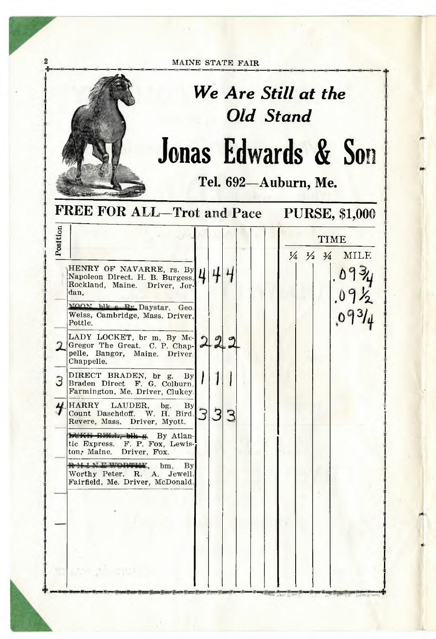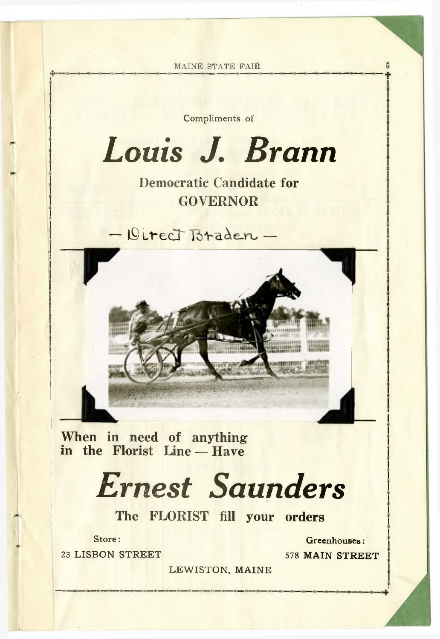**MAINE STATE FAIR** Compliments of *Louis J. Brann* **Democratic Candidate for GOVERNOR**  $-$  Direct Braden  $-$ **When in need of anything in the Florist Line — Have**

## *Ernest Saunders*

**The FLORIST fill your orders**

23 LISBON STREET 578 MAIN STREET

Store: **Greenhouses:**

LEWISTON, MAINE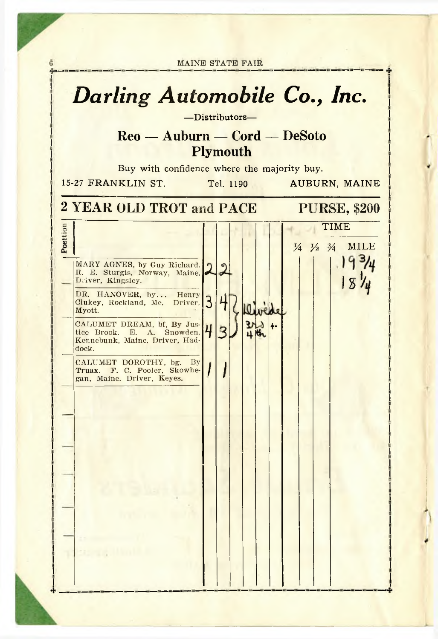|          | <b>Darling Automobile Co., Inc.</b><br>-Distributors-<br>$\text{Reo} - \text{Auburn} - \text{Cord} - \text{DeSoto}$                                                                                                                                                                                                                                                                                                                  |                     |                                    |           |                         |    |                                                    |
|----------|--------------------------------------------------------------------------------------------------------------------------------------------------------------------------------------------------------------------------------------------------------------------------------------------------------------------------------------------------------------------------------------------------------------------------------------|---------------------|------------------------------------|-----------|-------------------------|----|----------------------------------------------------|
|          |                                                                                                                                                                                                                                                                                                                                                                                                                                      |                     | <b>Plymouth</b>                    |           |                         |    |                                                    |
|          | Buy with confidence where the majority buy.<br>15-27 FRANKLIN ST.                                                                                                                                                                                                                                                                                                                                                                    |                     |                                    | Tel. 1190 |                         |    | <b>AUBURN, MAINE</b>                               |
|          | 2 YEAR OLD TROT and PACE                                                                                                                                                                                                                                                                                                                                                                                                             |                     |                                    |           |                         |    | <b>PURSE, \$200</b>                                |
| Position | MARY AGNES, by Guy Richard.<br>R. E. Sturgis, Norway, Maine.<br>Driver, Kingsley.<br>DR. HANOVER, by Henry<br>Clukey, Rockland, Me. Driver,<br>Myott.<br>CALUMET DREAM, bf, By Jus-<br>tice Brook. E. A. Snowden.<br>Kennebunk, Maine. Driver, Had-<br>dock.<br>CALUMET DOROTHY, bg.<br>By<br>Truax. F. C. Pooler, Skowhe-<br>gan, Maine. Driver, Keyes.<br>$\mathbf{B}$ and $\mathbf{B}$ and $\mathbf{B}$<br><b>St. Sig. Hamler</b> | $\overline{3}$<br>4 | $\overline{\mathbf{r}}$<br>4<br>72 |           | rede<br>$H_{\text{th}}$ | ∔- | TIME<br>$\frac{1}{4} \frac{1}{2} \frac{3}{4}$ MILE |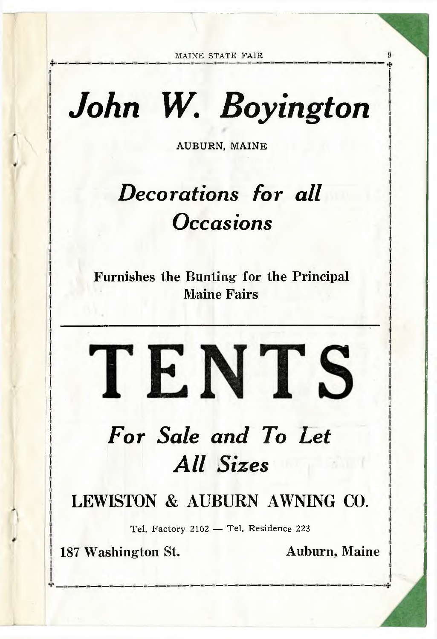## *John W. Boyington*

**AUBURN, MAINE**

## *Decorations for all Occasions*

**Furnishes the Bunting for the Principal Maine Fairs**

## *For Sale and To Let All Sizes*

TENTS

**LEWISTON & AUBURN AWNING CO.**

Tel. Factory 2162 — Tel. Residence 223

**187 Washington St. Auburn, Maine**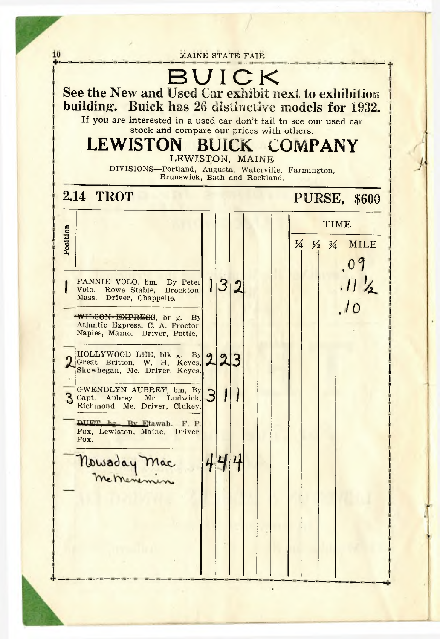|          | stock and compare our prices with others.<br>LEWISTON BUICK COMPANY<br>LEWISTON, MAINE<br>DIVISIONS-Portland, Augusta, Waterville, Farmington,<br>Brunswick, Bath and Rockland.                                                                                                                                                                                                                                                                       |   |                                    |  |  |                                                                                      |
|----------|-------------------------------------------------------------------------------------------------------------------------------------------------------------------------------------------------------------------------------------------------------------------------------------------------------------------------------------------------------------------------------------------------------------------------------------------------------|---|------------------------------------|--|--|--------------------------------------------------------------------------------------|
|          | <b>2.14 TROT</b>                                                                                                                                                                                                                                                                                                                                                                                                                                      |   |                                    |  |  | <b>PURSE, \$600</b>                                                                  |
| Position | FANNIE VOLO, bm. By Peter<br>Volo. Rowe Stable, Brockton.<br>Mass. Driver, Chappelle.<br>WILSON-EXPRESS, br g. By<br>Atlantic Express. C. A. Proctor,<br>Naples, Maine. Driver, Pottle.<br>HOLLYWOOD LEE, blk g. By 9<br>Great Britton. W. H. Keyes.<br>Skowhegan, Me. Driver, Keyes.<br>GWENDLYN AUBREY, bm, By<br>Capt. Aubrey. Mr. Ludwick,<br>Richmond, Me. Driver, Clukey.<br>DILET by Ry Etawah. F. P.<br>Fox, Lewiston, Maine, Driver,<br>Fox. | З | $\overline{3}$<br>$\boldsymbol{2}$ |  |  | $\frac{1}{4}$ $\frac{1}{2}$ $\frac{3}{4}$<br><b>MILE</b><br>.09<br>$.11 \frac{1}{2}$ |
|          | Nowaday Mac<br>metheme                                                                                                                                                                                                                                                                                                                                                                                                                                |   |                                    |  |  |                                                                                      |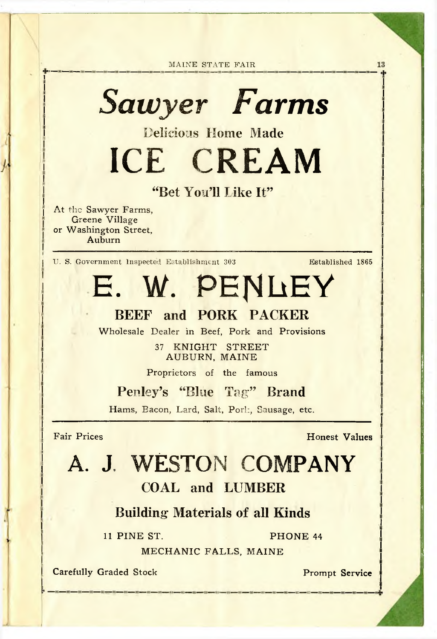*Sawyer Farms*

Delicious Home **Made**

ICE CREAM

#### "Bet You'll **like** It"

**At** the **Sawyer Farms, Greene Village or Washington Street, Auburn**

**U. S. Government Inspected Establishment 303 Established 1865**

13

E. W. PENLEY

#### **BEEF and PORK PACKER**

**Wholesale Dealer in Beef,** Pork **and** Provisions

**37 KNIGHT STREET AUBURN, MAINE**

**Proprietors of the famous**

Penley's "Blue Tag" **Brand**

Hams, Bacon, Lard, Salt, Porl:, Sausage, etc.

Fair Prices **Honest Values** 

## A. **J,** WESTON **COMPANY**

#### **COAL and LUMBER**

#### **Building Materials of all Kinds**

11 PINE ST. PHONE 44

MECHANIC FALLS, MAINE

**Carefully Graded Stock Prompt Service**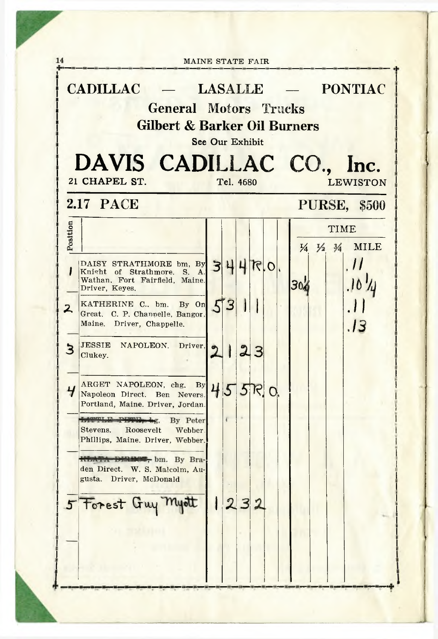|               | <b>General Motors Trucks</b><br><b>Gilbert &amp; Barker Oil Burners</b>                                                                     | See Our Exhibit |                |                         |    |          |     |  |                                         |
|---------------|---------------------------------------------------------------------------------------------------------------------------------------------|-----------------|----------------|-------------------------|----|----------|-----|--|-----------------------------------------|
|               | DAVIS CADILLAC CO., Inc.<br>21 CHAPEL ST.                                                                                                   |                 | Tel. 4680      |                         |    |          |     |  | <b>LEWISTON</b>                         |
|               | <b>2.17 PACE</b>                                                                                                                            |                 |                |                         |    |          |     |  | <b>PURSE, \$500</b>                     |
| Position<br>I | DAISY STRATHMORE bm, By 34460.<br>Knight of Strathmore, S. A.                                                                               |                 |                |                         |    |          |     |  | <b>TIME</b><br>1/4 1/2 3/4 MILE<br>, 11 |
| $\mathsf{z}$  | Wathan, Fort Fairfield, Maine.<br>Driver, Keyes.<br>KATHERINE C., bm. By On<br>Great, C. P. Channelle, Bangor.<br>Maine. Driver, Chappelle. |                 | 53             |                         |    |          | 30% |  | .13                                     |
| $\mathbf{3}$  | JESSIE NAPOLEON. Driver.<br>Clukey.                                                                                                         |                 | I              | $\overline{\mathbf{2}}$ | 3  |          |     |  |                                         |
| Ч             | ARGET NAPOLEON, chg. By 45<br>Napoleon Direct. Ben Nevers.<br>Portland, Maine. Driver, Jordan.                                              |                 |                |                         | 5R | $\Omega$ |     |  |                                         |
|               | Light E Phillip<br>$+2.$<br>By Peter<br>Stevens. Roosevelt<br>Webber.<br>Phillips, Maine. Driver, Webber.                                   |                 |                |                         |    |          |     |  |                                         |
|               | <b>HEATA DIRING, bm.</b> By Bra-<br>den Direct. W. S. Malcolm, Au-<br>Driver, McDonald<br>gusta.                                            |                 |                |                         |    |          |     |  |                                         |
| 5             | Forest Guy Myott                                                                                                                            |                 | $\overline{2}$ |                         |    |          |     |  |                                         |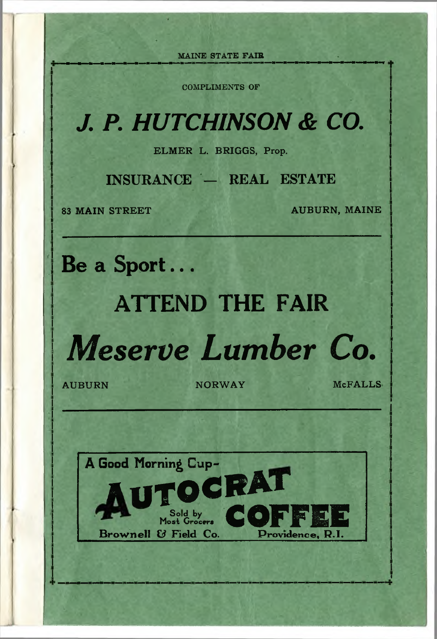**COMPLIMENTS OF**

## *J. P. HUTCHINSON & CO.*

**ELMER L. BRIGGS, Prop.**

**INSURANCE — REAL ESTATE**

**83 MAIN STREET AUBURN, MAINE** 

**Be a Sport...**

A Good Morning **Cup-**

**Brownell & Field Co.** 

**Sold by** 

## **ATTEND THE FAIR**

*Meserve Lumber Co,*

AUBURN NORWAY McFALLS

**OCRAT** 

COF

**Providence, R.I.**